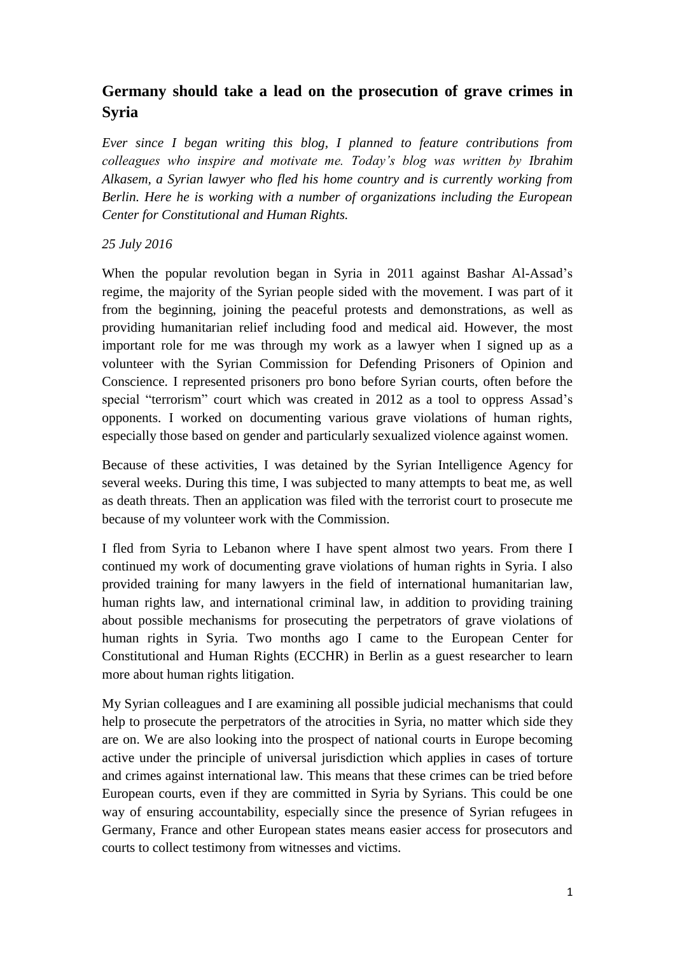## **Germany should take a lead on the prosecution of grave crimes in Syria**

*Ever since I began writing this blog, I planned to feature contributions from colleagues who inspire and motivate me. Today's blog was written by Ibrahim Alkasem, a Syrian lawyer who fled his home country and is currently working from Berlin. Here he is working with a number of organizations including the European Center for Constitutional and Human Rights.*

## *25 July 2016*

When the popular revolution began in Syria in 2011 against Bashar Al-Assad's regime, the majority of the Syrian people sided with the movement. I was part of it from the beginning, joining the peaceful protests and demonstrations, as well as providing humanitarian relief including food and medical aid. However, the most important role for me was through my work as a lawyer when I signed up as a volunteer with the Syrian Commission for Defending Prisoners of Opinion and Conscience. I represented prisoners pro bono before Syrian courts, often before the special "terrorism" court which was created in 2012 as a tool to oppress Assad's opponents. I worked on documenting various grave violations of human rights, especially those based on gender and particularly sexualized violence against women.

Because of these activities, I was detained by the Syrian Intelligence Agency for several weeks. During this time, I was subjected to many attempts to beat me, as well as death threats. Then an application was filed with the terrorist court to prosecute me because of my volunteer work with the Commission.

I fled from Syria to Lebanon where I have spent almost two years. From there I continued my work of documenting grave violations of human rights in Syria. I also provided training for many lawyers in the field of international humanitarian law, human rights law, and international criminal law, in addition to providing training about possible mechanisms for prosecuting the perpetrators of grave violations of human rights in Syria. Two months ago I came to the European Center for Constitutional and Human Rights (ECCHR) in Berlin as a guest researcher to learn more about human rights litigation.

My Syrian colleagues and I are examining all possible judicial mechanisms that could help to prosecute the perpetrators of the atrocities in Syria, no matter which side they are on. We are also looking into the prospect of national courts in Europe becoming active under the principle of universal jurisdiction which applies in cases of torture and crimes against international law. This means that these crimes can be tried before European courts, even if they are committed in Syria by Syrians. This could be one way of ensuring accountability, especially since the presence of Syrian refugees in Germany, France and other European states means easier access for prosecutors and courts to collect testimony from witnesses and victims.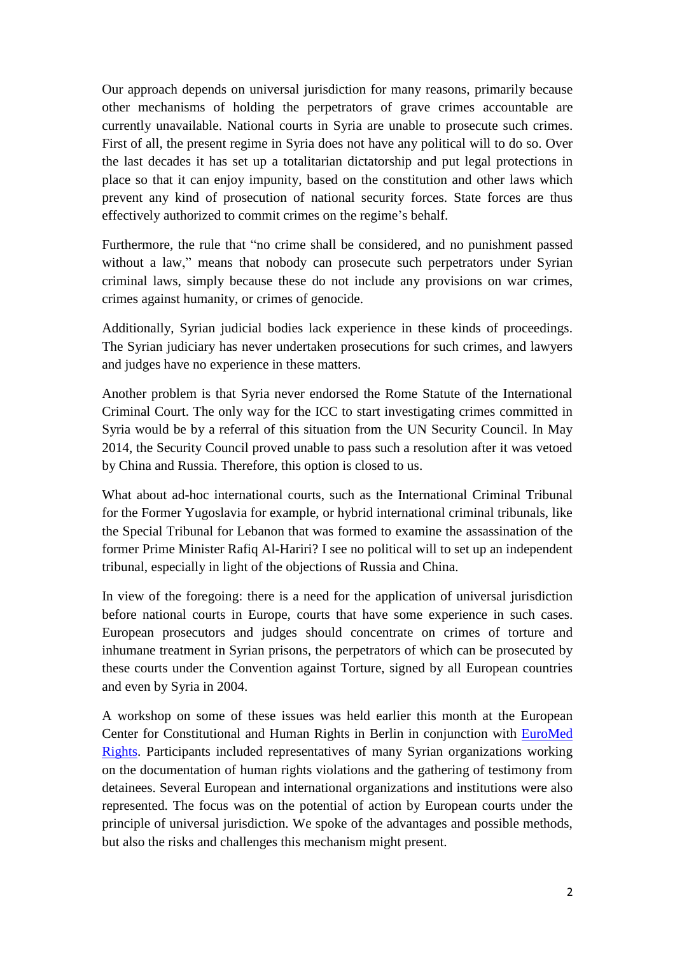Our approach depends on universal jurisdiction for many reasons, primarily because other mechanisms of holding the perpetrators of grave crimes accountable are currently unavailable. National courts in Syria are unable to prosecute such crimes. First of all, the present regime in Syria does not have any political will to do so. Over the last decades it has set up a totalitarian dictatorship and put legal protections in place so that it can enjoy impunity, based on the constitution and other laws which prevent any kind of prosecution of national security forces. State forces are thus effectively authorized to commit crimes on the regime's behalf.

Furthermore, the rule that "no crime shall be considered, and no punishment passed without a law," means that nobody can prosecute such perpetrators under Syrian criminal laws, simply because these do not include any provisions on war crimes, crimes against humanity, or crimes of genocide.

Additionally, Syrian judicial bodies lack experience in these kinds of proceedings. The Syrian judiciary has never undertaken prosecutions for such crimes, and lawyers and judges have no experience in these matters.

Another problem is that Syria never endorsed the Rome Statute of the International Criminal Court. The only way for the ICC to start investigating crimes committed in Syria would be by a referral of this situation from the UN Security Council. In May 2014, the Security Council proved unable to pass such a resolution after it was vetoed by China and Russia. Therefore, this option is closed to us.

What about ad-hoc international courts, such as the International Criminal Tribunal for the Former Yugoslavia for example, or hybrid international criminal tribunals, like the Special Tribunal for Lebanon that was formed to examine the assassination of the former Prime Minister Rafiq Al-Hariri? I see no political will to set up an independent tribunal, especially in light of the objections of Russia and China.

In view of the foregoing: there is a need for the application of universal jurisdiction before national courts in Europe, courts that have some experience in such cases. European prosecutors and judges should concentrate on crimes of torture and inhumane treatment in Syrian prisons, the perpetrators of which can be prosecuted by these courts under the Convention against Torture, signed by all European countries and even by Syria in 2004.

A workshop on some of these issues was held earlier this month at the European Center for Constitutional and Human Rights in Berlin in conjunction with [EuroMed](http://euromedrights.org/)  [Rights.](http://euromedrights.org/) Participants included representatives of many Syrian organizations working on the documentation of human rights violations and the gathering of testimony from detainees. Several European and international organizations and institutions were also represented. The focus was on the potential of action by European courts under the principle of universal jurisdiction. We spoke of the advantages and possible methods, but also the risks and challenges this mechanism might present.